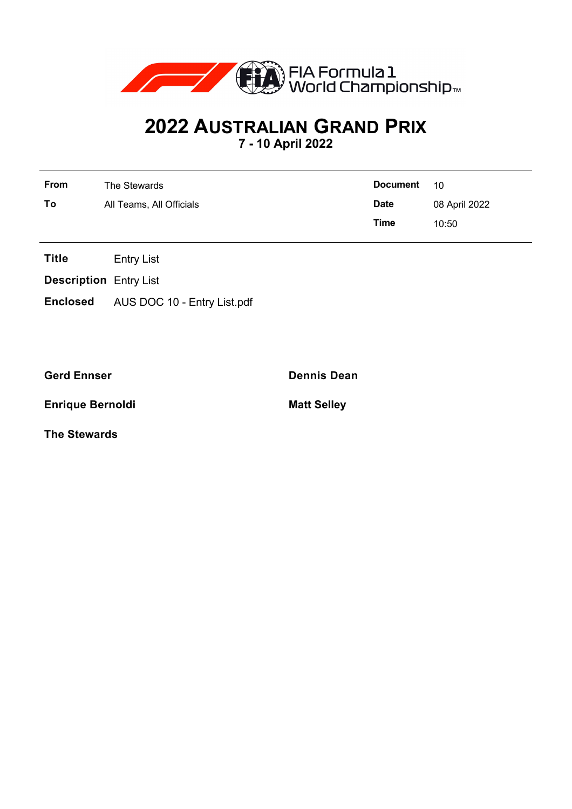

## **2022 AUSTRALIAN GRAND PRIX**

**7 - 10 April 2022**

| From | The Stewards             | <b>Document</b> | 10            |
|------|--------------------------|-----------------|---------------|
| To   | All Teams, All Officials | <b>Date</b>     | 08 April 2022 |
|      |                          | Time            | 10:50         |

**Title** Entry List

**Description** Entry List

**Enclosed** AUS DOC 10 - Entry List.pdf

**Enrique Bernoldi Matt Selley** 

**The Stewards**

**Gerd Ennser Dennis Dean**